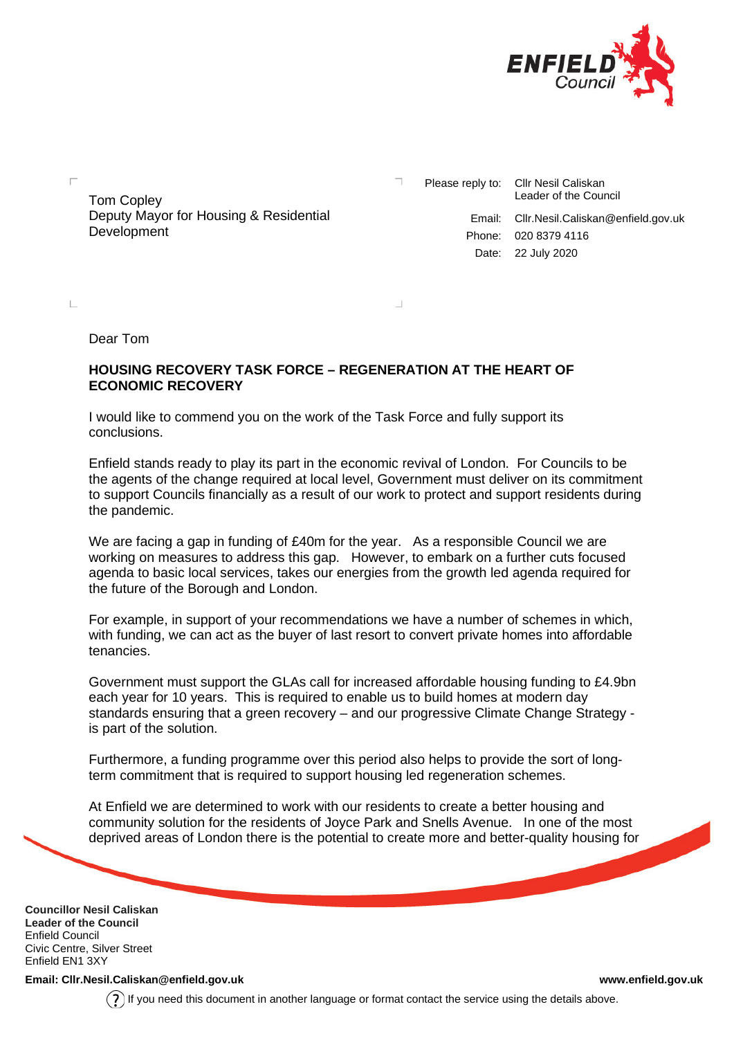

Tom Copley Deputy Mayor for Housing & Residential **Development** 

Please reply to: Cllr Nesil Caliskan Leader of the Council Email: Cllr.Nesil.Caliskan@enfield.gov.uk Phone: 020 8379 4116 Date: 22 July 2020

Dear Tom

 $\mathbb{L}$ 

## **HOUSING RECOVERY TASK FORCE – REGENERATION AT THE HEART OF ECONOMIC RECOVERY**

I would like to commend you on the work of the Task Force and fully support its conclusions.

Enfield stands ready to play its part in the economic revival of London. For Councils to be the agents of the change required at local level, Government must deliver on its commitment to support Councils financially as a result of our work to protect and support residents during the pandemic.

We are facing a gap in funding of £40m for the year. As a responsible Council we are working on measures to address this gap. However, to embark on a further cuts focused agenda to basic local services, takes our energies from the growth led agenda required for the future of the Borough and London.

For example, in support of your recommendations we have a number of schemes in which, with funding, we can act as the buyer of last resort to convert private homes into affordable tenancies.

Government must support the GLAs call for increased affordable housing funding to £4.9bn each year for 10 years. This is required to enable us to build homes at modern day standards ensuring that a green recovery – and our progressive Climate Change Strategy is part of the solution.

Furthermore, a funding programme over this period also helps to provide the sort of longterm commitment that is required to support housing led regeneration schemes.

At Enfield we are determined to work with our residents to create a better housing and community solution for the residents of Joyce Park and Snells Avenue. In one of the most deprived areas of London there is the potential to create more and better-quality housing for

**Councillor Nesil Caliskan Leader of the Council** Enfield Council Civic Centre, Silver Street Enfield EN1 3XY

**Email: Cllr.Nesil.Caliskan@enfield.gov.uk [www.enfield.gov.uk](http://www.enfield.gov.uk/)**

If you need this document in another language or format contact the service using the details above.